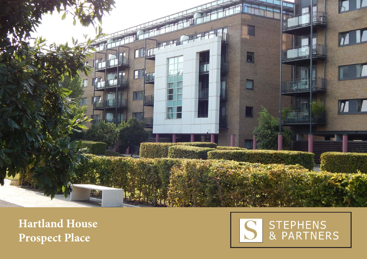

**Hartland House Prospect Place**

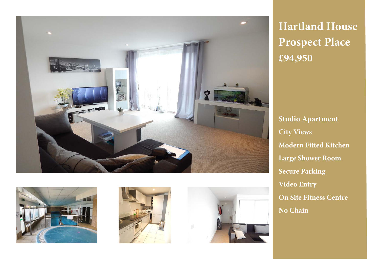







**Hartland House Prospect Place £94,950**

**Studio Apartment City Views Modern Fitted Kitchen Large Shower Room Secure Parking Video Entry On Site Fitness Centre No Chain**